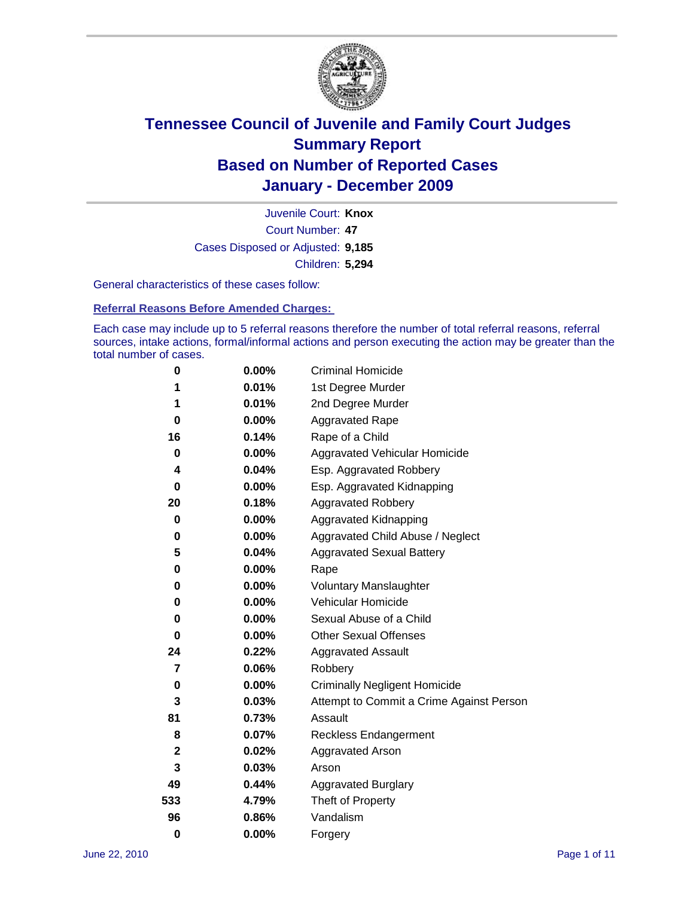

Court Number: **47** Juvenile Court: **Knox** Cases Disposed or Adjusted: **9,185** Children: **5,294**

General characteristics of these cases follow:

**Referral Reasons Before Amended Charges:** 

Each case may include up to 5 referral reasons therefore the number of total referral reasons, referral sources, intake actions, formal/informal actions and person executing the action may be greater than the total number of cases.

| 0           | $0.00\%$ | <b>Criminal Homicide</b>                 |
|-------------|----------|------------------------------------------|
| 1           | 0.01%    | 1st Degree Murder                        |
| 1           | 0.01%    | 2nd Degree Murder                        |
| 0           | $0.00\%$ | <b>Aggravated Rape</b>                   |
| 16          | 0.14%    | Rape of a Child                          |
| 0           | 0.00%    | Aggravated Vehicular Homicide            |
| 4           | 0.04%    | Esp. Aggravated Robbery                  |
| 0           | $0.00\%$ | Esp. Aggravated Kidnapping               |
| 20          | 0.18%    | <b>Aggravated Robbery</b>                |
| 0           | $0.00\%$ | Aggravated Kidnapping                    |
| 0           | $0.00\%$ | Aggravated Child Abuse / Neglect         |
| 5           | 0.04%    | <b>Aggravated Sexual Battery</b>         |
| 0           | 0.00%    | Rape                                     |
| 0           | $0.00\%$ | <b>Voluntary Manslaughter</b>            |
| 0           | 0.00%    | Vehicular Homicide                       |
| 0           | 0.00%    | Sexual Abuse of a Child                  |
| 0           | $0.00\%$ | <b>Other Sexual Offenses</b>             |
| 24          | 0.22%    | <b>Aggravated Assault</b>                |
| 7           | 0.06%    | Robbery                                  |
| $\bf{0}$    | 0.00%    | <b>Criminally Negligent Homicide</b>     |
| 3           | 0.03%    | Attempt to Commit a Crime Against Person |
| 81          | 0.73%    | Assault                                  |
| 8           | 0.07%    | <b>Reckless Endangerment</b>             |
| $\mathbf 2$ | 0.02%    | <b>Aggravated Arson</b>                  |
| 3           | 0.03%    | Arson                                    |
| 49          | 0.44%    | <b>Aggravated Burglary</b>               |
| 533         | 4.79%    | Theft of Property                        |
| 96          | 0.86%    | Vandalism                                |
| $\bf{0}$    | 0.00%    | Forgery                                  |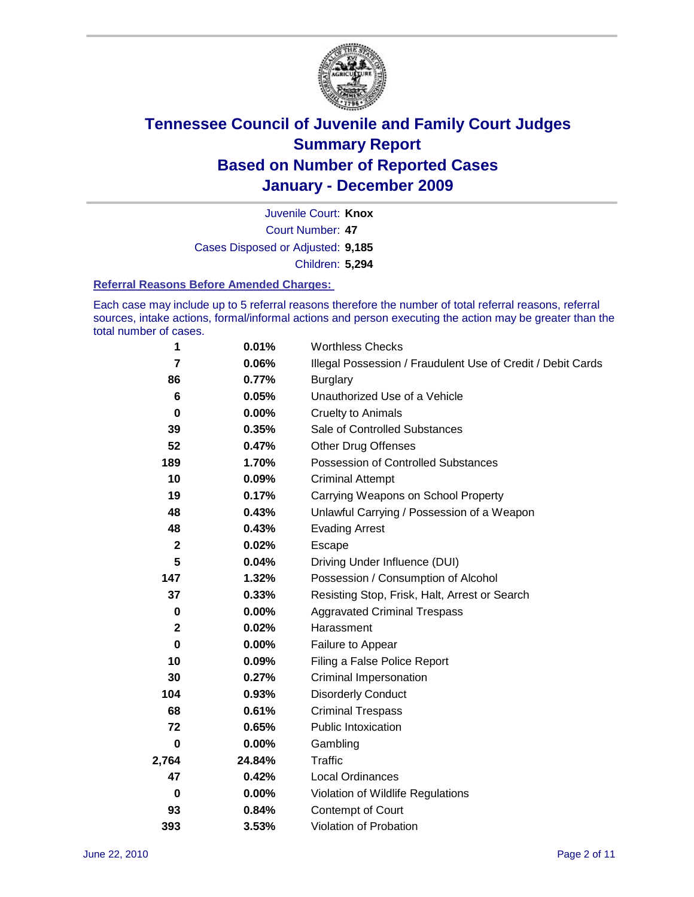

Court Number: **47** Juvenile Court: **Knox** Cases Disposed or Adjusted: **9,185** Children: **5,294**

#### **Referral Reasons Before Amended Charges:**

Each case may include up to 5 referral reasons therefore the number of total referral reasons, referral sources, intake actions, formal/informal actions and person executing the action may be greater than the total number of cases.

| 1     | 0.01%    | <b>Worthless Checks</b>                                     |
|-------|----------|-------------------------------------------------------------|
| 7     | 0.06%    | Illegal Possession / Fraudulent Use of Credit / Debit Cards |
| 86    | 0.77%    | <b>Burglary</b>                                             |
| 6     | 0.05%    | Unauthorized Use of a Vehicle                               |
| 0     | $0.00\%$ | <b>Cruelty to Animals</b>                                   |
| 39    | 0.35%    | Sale of Controlled Substances                               |
| 52    | 0.47%    | <b>Other Drug Offenses</b>                                  |
| 189   | 1.70%    | Possession of Controlled Substances                         |
| 10    | 0.09%    | <b>Criminal Attempt</b>                                     |
| 19    | 0.17%    | Carrying Weapons on School Property                         |
| 48    | 0.43%    | Unlawful Carrying / Possession of a Weapon                  |
| 48    | 0.43%    | <b>Evading Arrest</b>                                       |
| 2     | 0.02%    | Escape                                                      |
| 5     | 0.04%    | Driving Under Influence (DUI)                               |
| 147   | 1.32%    | Possession / Consumption of Alcohol                         |
| 37    | 0.33%    | Resisting Stop, Frisk, Halt, Arrest or Search               |
| 0     | $0.00\%$ | <b>Aggravated Criminal Trespass</b>                         |
| 2     | 0.02%    | Harassment                                                  |
| 0     | 0.00%    | Failure to Appear                                           |
| 10    | 0.09%    | Filing a False Police Report                                |
| 30    | 0.27%    | <b>Criminal Impersonation</b>                               |
| 104   | 0.93%    | <b>Disorderly Conduct</b>                                   |
| 68    | 0.61%    | <b>Criminal Trespass</b>                                    |
| 72    | 0.65%    | <b>Public Intoxication</b>                                  |
| 0     | 0.00%    | Gambling                                                    |
| 2,764 | 24.84%   | <b>Traffic</b>                                              |
| 47    | 0.42%    | Local Ordinances                                            |
| 0     | 0.00%    | Violation of Wildlife Regulations                           |
| 93    | 0.84%    | Contempt of Court                                           |
| 393   | 3.53%    | Violation of Probation                                      |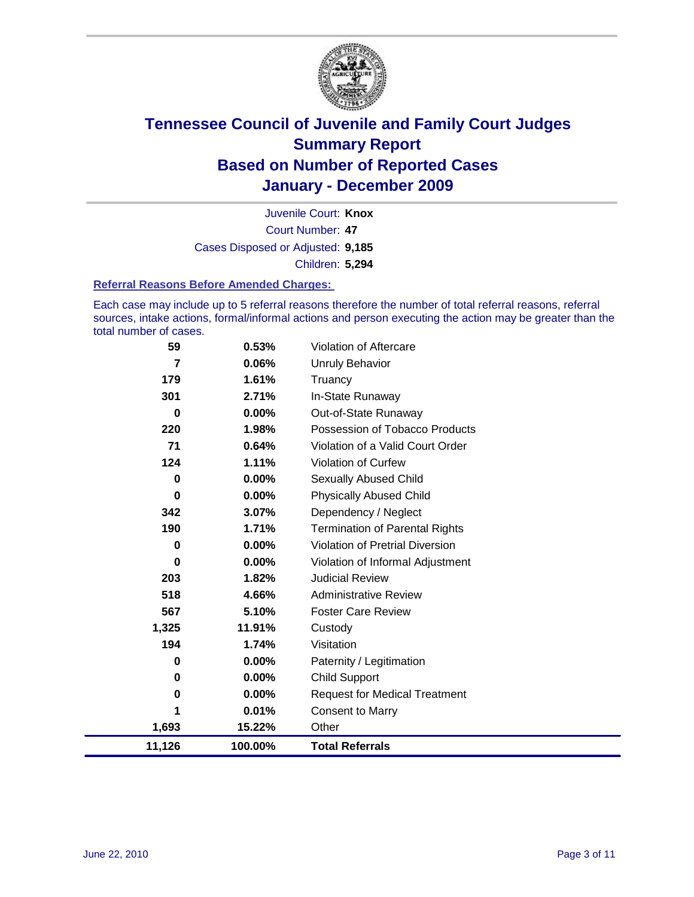

Court Number: **47** Juvenile Court: **Knox** Cases Disposed or Adjusted: **9,185** Children: **5,294**

#### **Referral Reasons Before Amended Charges:**

Each case may include up to 5 referral reasons therefore the number of total referral reasons, referral sources, intake actions, formal/informal actions and person executing the action may be greater than the total number of cases.

| 59       | 0.53%    | Violation of Aftercare                 |
|----------|----------|----------------------------------------|
| 7        | 0.06%    | <b>Unruly Behavior</b>                 |
| 179      | 1.61%    | Truancy                                |
| 301      | 2.71%    | In-State Runaway                       |
| 0        | $0.00\%$ | Out-of-State Runaway                   |
| 220      | 1.98%    | Possession of Tobacco Products         |
| 71       | 0.64%    | Violation of a Valid Court Order       |
| 124      | 1.11%    | <b>Violation of Curfew</b>             |
| $\bf{0}$ | 0.00%    | <b>Sexually Abused Child</b>           |
| $\bf{0}$ | 0.00%    | <b>Physically Abused Child</b>         |
| 342      | 3.07%    | Dependency / Neglect                   |
| 190      | 1.71%    | <b>Termination of Parental Rights</b>  |
| 0        | 0.00%    | <b>Violation of Pretrial Diversion</b> |
| 0        | $0.00\%$ | Violation of Informal Adjustment       |
| 203      | 1.82%    | <b>Judicial Review</b>                 |
| 518      | 4.66%    | <b>Administrative Review</b>           |
| 567      | 5.10%    | <b>Foster Care Review</b>              |
| 1,325    | 11.91%   | Custody                                |
| 194      | 1.74%    | Visitation                             |
| 0        | 0.00%    | Paternity / Legitimation               |
| 0        | 0.00%    | <b>Child Support</b>                   |
| 0        | 0.00%    | <b>Request for Medical Treatment</b>   |
| 1        | 0.01%    | <b>Consent to Marry</b>                |
| 1,693    | 15.22%   | Other                                  |
| 11,126   | 100.00%  | <b>Total Referrals</b>                 |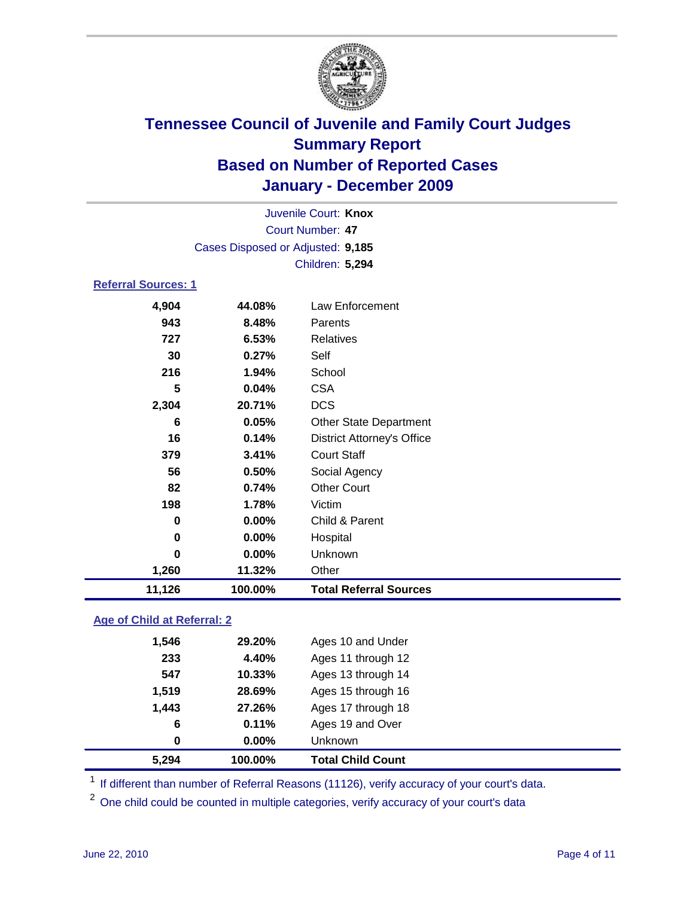

| Juvenile Court: Knox       |                                   |                                   |  |  |
|----------------------------|-----------------------------------|-----------------------------------|--|--|
| Court Number: 47           |                                   |                                   |  |  |
|                            | Cases Disposed or Adjusted: 9,185 |                                   |  |  |
|                            |                                   | Children: 5,294                   |  |  |
| <b>Referral Sources: 1</b> |                                   |                                   |  |  |
| 4,904                      | 44.08%                            | Law Enforcement                   |  |  |
| 943                        | 8.48%                             | Parents                           |  |  |
| 727                        | 6.53%                             | <b>Relatives</b>                  |  |  |
| 30                         | 0.27%                             | Self                              |  |  |
| 216                        | 1.94%                             | School                            |  |  |
| 5                          | 0.04%                             | <b>CSA</b>                        |  |  |
| 2,304                      | 20.71%                            | <b>DCS</b>                        |  |  |
| 6                          | 0.05%                             | <b>Other State Department</b>     |  |  |
| 16                         | 0.14%                             | <b>District Attorney's Office</b> |  |  |
| 379                        | 3.41%                             | <b>Court Staff</b>                |  |  |
| 56                         | 0.50%                             | Social Agency                     |  |  |
| 82                         | 0.74%                             | <b>Other Court</b>                |  |  |
| 198                        | 1.78%                             | Victim                            |  |  |
| $\bf{0}$                   | 0.00%                             | Child & Parent                    |  |  |
| $\bf{0}$                   | 0.00%                             | Hospital                          |  |  |
| $\bf{0}$                   | 0.00%                             | Unknown                           |  |  |
| 1,260                      | 11.32%                            | Other                             |  |  |
| 11,126                     | 100.00%                           | <b>Total Referral Sources</b>     |  |  |

### **Age of Child at Referral: 2**

| 0     | 0.00%  | Unknown            |
|-------|--------|--------------------|
| 6     | 0.11%  | Ages 19 and Over   |
| 1,443 | 27.26% | Ages 17 through 18 |
| 1,519 | 28.69% | Ages 15 through 16 |
| 547   | 10.33% | Ages 13 through 14 |
| 233   | 4.40%  | Ages 11 through 12 |
| 1,546 | 29.20% | Ages 10 and Under  |
|       |        |                    |

<sup>1</sup> If different than number of Referral Reasons (11126), verify accuracy of your court's data.

<sup>2</sup> One child could be counted in multiple categories, verify accuracy of your court's data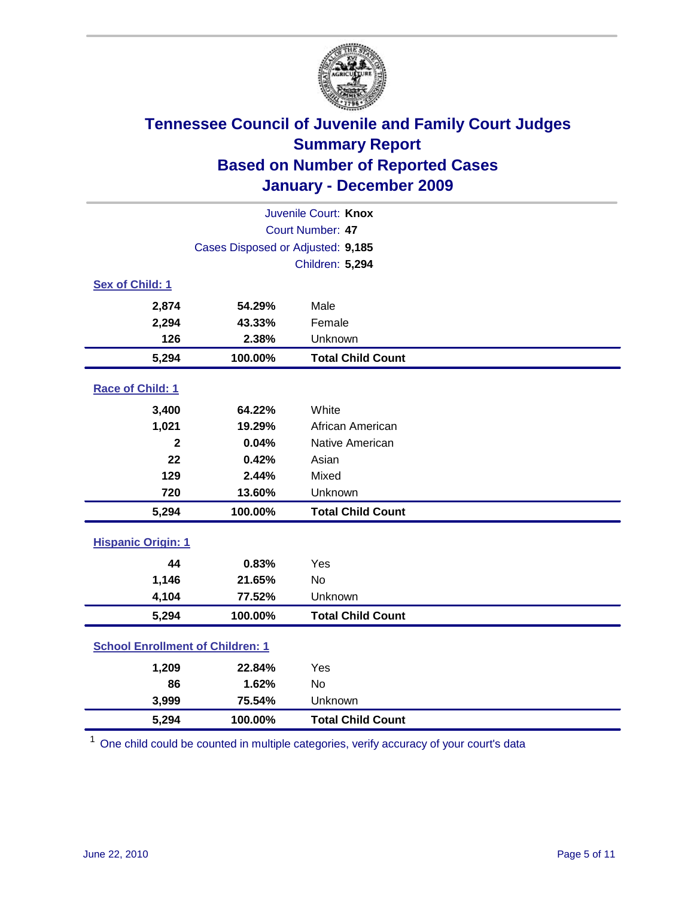

| Juvenile Court: Knox                    |                                   |                          |  |  |
|-----------------------------------------|-----------------------------------|--------------------------|--|--|
|                                         | Court Number: 47                  |                          |  |  |
|                                         | Cases Disposed or Adjusted: 9,185 |                          |  |  |
|                                         |                                   | Children: 5,294          |  |  |
| Sex of Child: 1                         |                                   |                          |  |  |
| 2,874                                   | 54.29%                            | Male                     |  |  |
| 2,294                                   | 43.33%                            | Female                   |  |  |
| 126                                     | 2.38%                             | Unknown                  |  |  |
| 5,294                                   | 100.00%                           | <b>Total Child Count</b> |  |  |
| Race of Child: 1                        |                                   |                          |  |  |
| 3,400                                   | 64.22%                            | White                    |  |  |
| 1,021                                   | 19.29%                            | African American         |  |  |
| $\mathbf 2$                             | 0.04%                             | Native American          |  |  |
| 22                                      | 0.42%                             | Asian                    |  |  |
| 129                                     | 2.44%                             | Mixed                    |  |  |
| 720                                     | 13.60%                            | Unknown                  |  |  |
| 5,294                                   | 100.00%                           | <b>Total Child Count</b> |  |  |
| <b>Hispanic Origin: 1</b>               |                                   |                          |  |  |
| 44                                      | 0.83%                             | Yes                      |  |  |
| 1,146                                   | 21.65%                            | <b>No</b>                |  |  |
| 4,104                                   | 77.52%                            | Unknown                  |  |  |
| 5,294                                   | 100.00%                           | <b>Total Child Count</b> |  |  |
| <b>School Enrollment of Children: 1</b> |                                   |                          |  |  |
| 1,209                                   | 22.84%                            | Yes                      |  |  |
| 86                                      | 1.62%                             | No                       |  |  |
| 3,999                                   | 75.54%                            | Unknown                  |  |  |
| 5,294                                   | 100.00%                           | <b>Total Child Count</b> |  |  |

<sup>1</sup> One child could be counted in multiple categories, verify accuracy of your court's data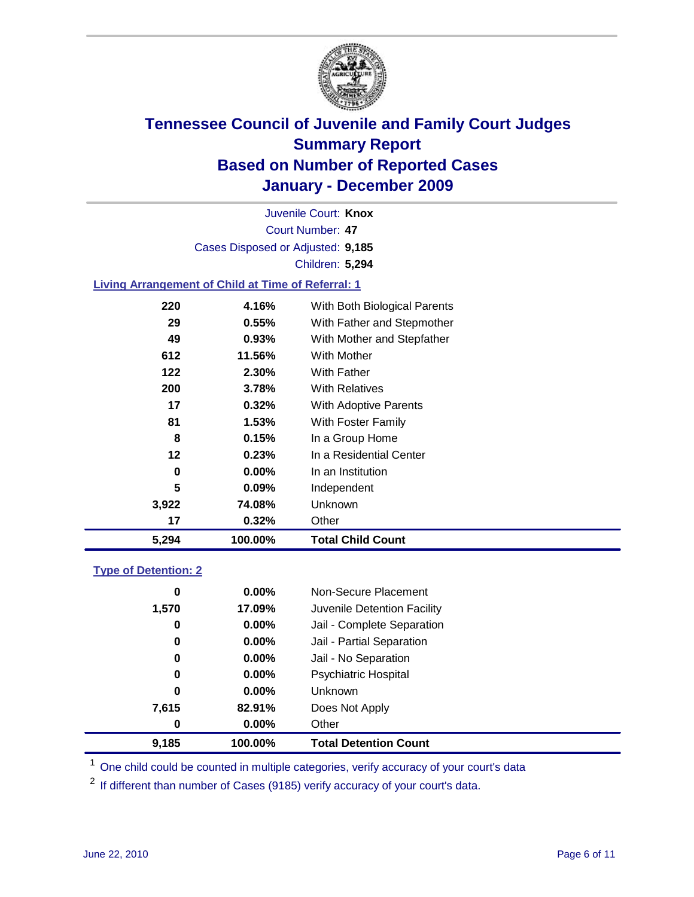

Court Number: **47** Juvenile Court: **Knox** Cases Disposed or Adjusted: **9,185** Children: **5,294**

### **Living Arrangement of Child at Time of Referral: 1**

| 5,294 | 100.00%  | <b>Total Child Count</b>     |
|-------|----------|------------------------------|
| 17    | 0.32%    | Other                        |
| 3,922 | 74.08%   | Unknown                      |
| 5     | 0.09%    | Independent                  |
| 0     | $0.00\%$ | In an Institution            |
| 12    | 0.23%    | In a Residential Center      |
| 8     | 0.15%    | In a Group Home              |
| 81    | $1.53\%$ | With Foster Family           |
| 17    | 0.32%    | With Adoptive Parents        |
| 200   | 3.78%    | <b>With Relatives</b>        |
| 122   | 2.30%    | <b>With Father</b>           |
| 612   | 11.56%   | <b>With Mother</b>           |
| 49    | $0.93\%$ | With Mother and Stepfather   |
| 29    | $0.55\%$ | With Father and Stepmother   |
| 220   | 4.16%    | With Both Biological Parents |
|       |          |                              |

#### **Type of Detention: 2**

| 9,185 | 100.00%  | <b>Total Detention Count</b> |
|-------|----------|------------------------------|
| 0     | $0.00\%$ | Other                        |
| 7,615 | 82.91%   | Does Not Apply               |
| 0     | $0.00\%$ | <b>Unknown</b>               |
| 0     | $0.00\%$ | <b>Psychiatric Hospital</b>  |
| 0     | 0.00%    | Jail - No Separation         |
| 0     | $0.00\%$ | Jail - Partial Separation    |
| 0     | 0.00%    | Jail - Complete Separation   |
| 1,570 | 17.09%   | Juvenile Detention Facility  |
| 0     | $0.00\%$ | Non-Secure Placement         |
|       |          |                              |

<sup>1</sup> One child could be counted in multiple categories, verify accuracy of your court's data

<sup>2</sup> If different than number of Cases (9185) verify accuracy of your court's data.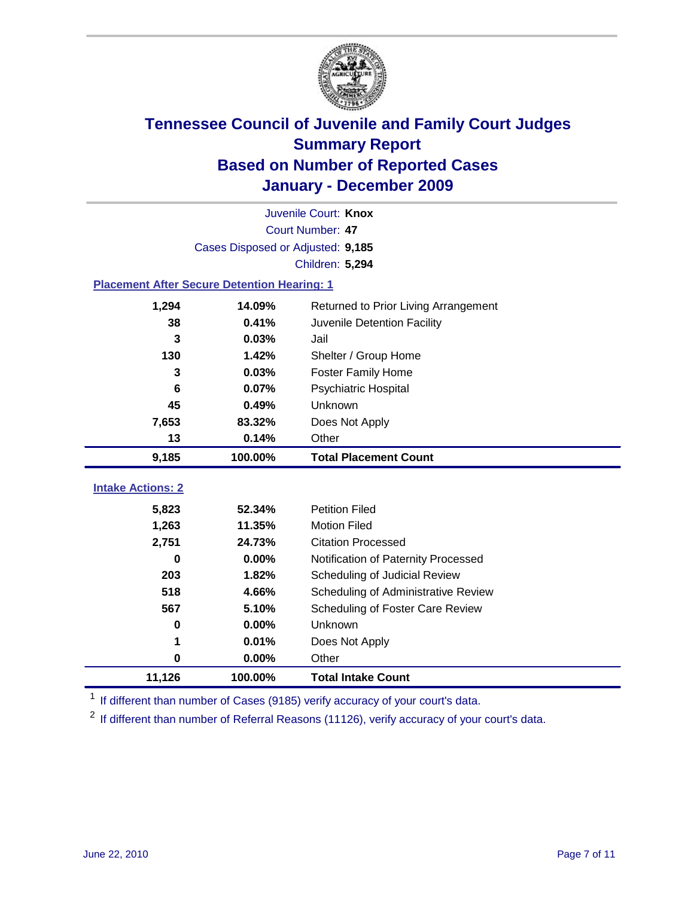

| Juvenile Court: Knox                               |                                   |                                      |  |  |  |
|----------------------------------------------------|-----------------------------------|--------------------------------------|--|--|--|
|                                                    | Court Number: 47                  |                                      |  |  |  |
|                                                    | Cases Disposed or Adjusted: 9,185 |                                      |  |  |  |
|                                                    |                                   | Children: 5,294                      |  |  |  |
| <b>Placement After Secure Detention Hearing: 1</b> |                                   |                                      |  |  |  |
| 1,294                                              | 14.09%                            | Returned to Prior Living Arrangement |  |  |  |
| 38                                                 | 0.41%                             | Juvenile Detention Facility          |  |  |  |
| 3                                                  | 0.03%                             | Jail                                 |  |  |  |
| 130                                                | 1.42%                             | Shelter / Group Home                 |  |  |  |
| 3                                                  | 0.03%                             | <b>Foster Family Home</b>            |  |  |  |
| 6                                                  | 0.07%                             | Psychiatric Hospital                 |  |  |  |
| 45                                                 | 0.49%                             | Unknown                              |  |  |  |
| 7,653                                              | 83.32%                            | Does Not Apply                       |  |  |  |
| 13                                                 | 0.14%                             | Other                                |  |  |  |
| 9,185                                              | 100.00%                           | <b>Total Placement Count</b>         |  |  |  |
|                                                    |                                   |                                      |  |  |  |
| <b>Intake Actions: 2</b>                           |                                   |                                      |  |  |  |
| 5,823                                              | 52.34%                            | <b>Petition Filed</b>                |  |  |  |
| 1,263                                              | 11.35%                            | <b>Motion Filed</b>                  |  |  |  |
| 2,751                                              | 24.73%                            | <b>Citation Processed</b>            |  |  |  |
| 0                                                  | 0.00%                             | Notification of Paternity Processed  |  |  |  |
| 203                                                | 1.82%                             | Scheduling of Judicial Review        |  |  |  |
| 518                                                | 4.66%                             | Scheduling of Administrative Review  |  |  |  |
| 567                                                | 5.10%                             | Scheduling of Foster Care Review     |  |  |  |
| 0                                                  | 0.00%                             | Unknown                              |  |  |  |
| 1                                                  | 0.01%                             | Does Not Apply                       |  |  |  |
| 0                                                  | 0.00%                             | Other                                |  |  |  |
| 11,126                                             | 100.00%                           | <b>Total Intake Count</b>            |  |  |  |

<sup>1</sup> If different than number of Cases (9185) verify accuracy of your court's data.

<sup>2</sup> If different than number of Referral Reasons (11126), verify accuracy of your court's data.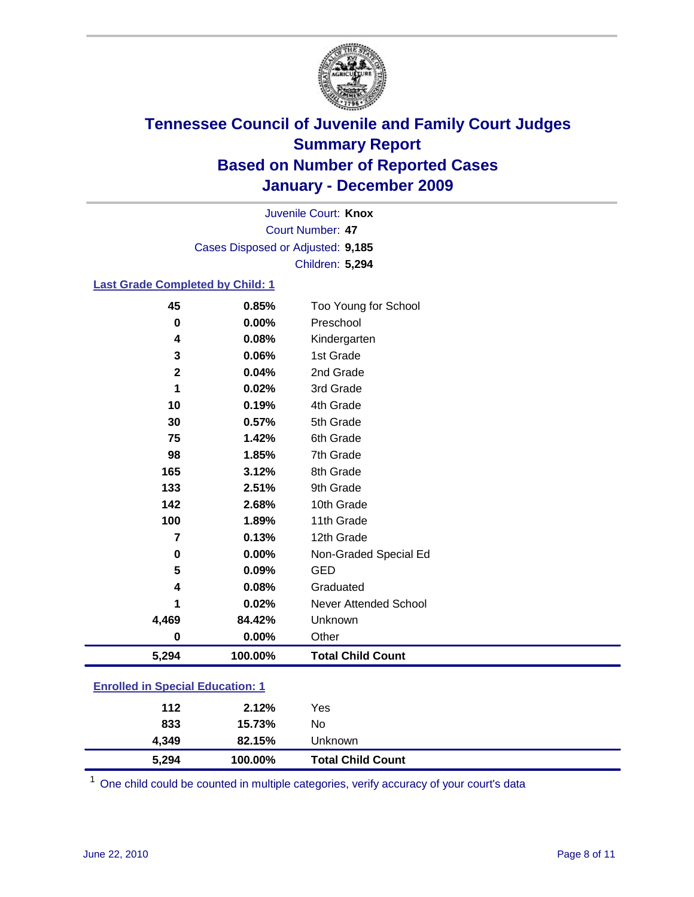

Court Number: **47** Juvenile Court: **Knox** Cases Disposed or Adjusted: **9,185** Children: **5,294**

### **Last Grade Completed by Child: 1**

| 45                                      | 0.85%   | Too Young for School         |
|-----------------------------------------|---------|------------------------------|
| 0                                       | 0.00%   | Preschool                    |
| 4                                       | 0.08%   | Kindergarten                 |
| 3                                       | 0.06%   | 1st Grade                    |
| $\mathbf{2}$                            | 0.04%   | 2nd Grade                    |
| 1                                       | 0.02%   | 3rd Grade                    |
| 10                                      | 0.19%   | 4th Grade                    |
| 30                                      | 0.57%   | 5th Grade                    |
| 75                                      | 1.42%   | 6th Grade                    |
| 98                                      | 1.85%   | 7th Grade                    |
| 165                                     | 3.12%   | 8th Grade                    |
| 133                                     | 2.51%   | 9th Grade                    |
| 142                                     | 2.68%   | 10th Grade                   |
| 100                                     | 1.89%   | 11th Grade                   |
| $\overline{7}$                          | 0.13%   | 12th Grade                   |
| 0                                       | 0.00%   | Non-Graded Special Ed        |
| 5                                       | 0.09%   | <b>GED</b>                   |
| 4                                       | 0.08%   | Graduated                    |
| 1                                       | 0.02%   | <b>Never Attended School</b> |
| 4,469                                   | 84.42%  | Unknown                      |
| $\bf{0}$                                | 0.00%   | Other                        |
| 5,294                                   | 100.00% | <b>Total Child Count</b>     |
| <b>Enrolled in Special Education: 1</b> |         |                              |
| 112                                     | 2.12%   | Yes                          |
| 833                                     | 15.73%  | No                           |

One child could be counted in multiple categories, verify accuracy of your court's data

**4,349 82.15%** Unknown

**5,294 100.00% Total Child Count**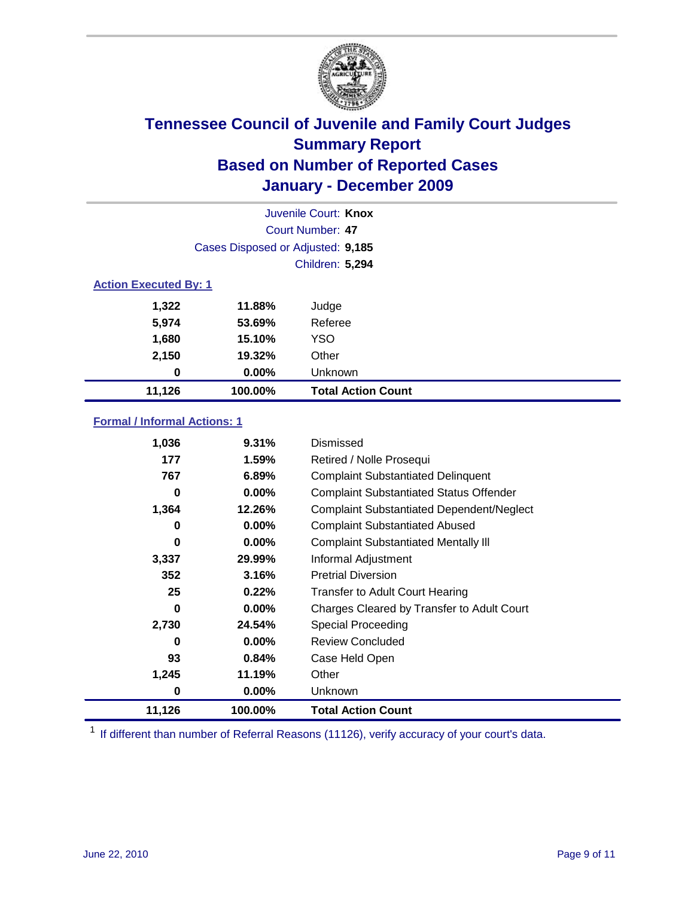

| Juvenile Court: Knox         |                                   |                           |  |  |  |
|------------------------------|-----------------------------------|---------------------------|--|--|--|
|                              | Court Number: 47                  |                           |  |  |  |
|                              | Cases Disposed or Adjusted: 9,185 |                           |  |  |  |
|                              | Children: 5,294                   |                           |  |  |  |
| <b>Action Executed By: 1</b> |                                   |                           |  |  |  |
| 1,322                        | 11.88%                            | Judge                     |  |  |  |
| 5,974                        | 53.69%                            | Referee                   |  |  |  |
| 1,680                        | 15.10%                            | <b>YSO</b>                |  |  |  |
| 2,150                        | 19.32%                            | Other                     |  |  |  |
| 0                            | 0.00%                             | Unknown                   |  |  |  |
| 11,126                       | 100.00%                           | <b>Total Action Count</b> |  |  |  |

### **Formal / Informal Actions: 1**

| 1,036  | 9.31%    | Dismissed                                        |
|--------|----------|--------------------------------------------------|
| 177    | 1.59%    | Retired / Nolle Prosequi                         |
| 767    | 6.89%    | <b>Complaint Substantiated Delinquent</b>        |
| 0      | $0.00\%$ | <b>Complaint Substantiated Status Offender</b>   |
| 1,364  | 12.26%   | <b>Complaint Substantiated Dependent/Neglect</b> |
| 0      | $0.00\%$ | <b>Complaint Substantiated Abused</b>            |
| 0      | $0.00\%$ | <b>Complaint Substantiated Mentally III</b>      |
| 3,337  | 29.99%   | Informal Adjustment                              |
| 352    | 3.16%    | <b>Pretrial Diversion</b>                        |
| 25     | 0.22%    | <b>Transfer to Adult Court Hearing</b>           |
| 0      | $0.00\%$ | Charges Cleared by Transfer to Adult Court       |
| 2,730  | 24.54%   | Special Proceeding                               |
| 0      | $0.00\%$ | <b>Review Concluded</b>                          |
| 93     | 0.84%    | Case Held Open                                   |
| 1,245  | 11.19%   | Other                                            |
| 0      | $0.00\%$ | Unknown                                          |
| 11,126 | 100.00%  | <b>Total Action Count</b>                        |

<sup>1</sup> If different than number of Referral Reasons (11126), verify accuracy of your court's data.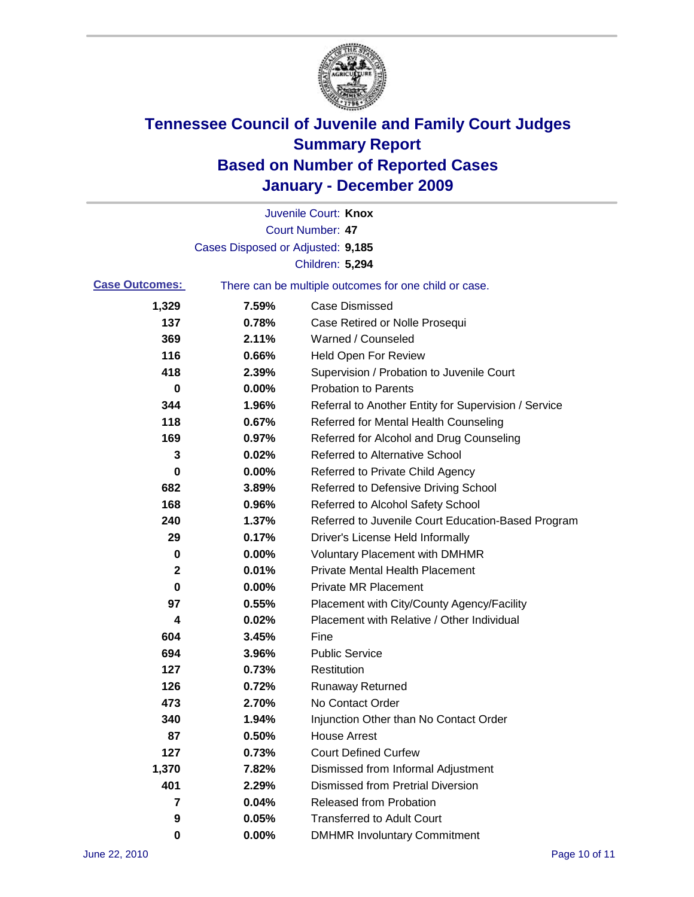

|                       |                                                       | Juvenile Court: Knox                                 |
|-----------------------|-------------------------------------------------------|------------------------------------------------------|
|                       |                                                       | <b>Court Number: 47</b>                              |
|                       | Cases Disposed or Adjusted: 9,185                     |                                                      |
|                       |                                                       | Children: 5,294                                      |
| <b>Case Outcomes:</b> | There can be multiple outcomes for one child or case. |                                                      |
| 1,329                 | 7.59%                                                 | <b>Case Dismissed</b>                                |
| 137                   | 0.78%                                                 | Case Retired or Nolle Prosequi                       |
| 369                   | 2.11%                                                 | Warned / Counseled                                   |
| 116                   | 0.66%                                                 | Held Open For Review                                 |
| 418                   | 2.39%                                                 | Supervision / Probation to Juvenile Court            |
| 0                     | 0.00%                                                 | <b>Probation to Parents</b>                          |
| 344                   | 1.96%                                                 | Referral to Another Entity for Supervision / Service |
| 118                   | 0.67%                                                 | Referred for Mental Health Counseling                |
| 169                   | 0.97%                                                 | Referred for Alcohol and Drug Counseling             |
| 3                     | 0.02%                                                 | <b>Referred to Alternative School</b>                |
| 0                     | 0.00%                                                 | Referred to Private Child Agency                     |
| 682                   | 3.89%                                                 | Referred to Defensive Driving School                 |
| 168                   | 0.96%                                                 | Referred to Alcohol Safety School                    |
| 240                   | 1.37%                                                 | Referred to Juvenile Court Education-Based Program   |
| 29                    | 0.17%                                                 | Driver's License Held Informally                     |
| 0                     | 0.00%                                                 | <b>Voluntary Placement with DMHMR</b>                |
| 2                     | 0.01%                                                 | <b>Private Mental Health Placement</b>               |
| 0                     | 0.00%                                                 | <b>Private MR Placement</b>                          |
| 97                    | 0.55%                                                 | Placement with City/County Agency/Facility           |
| 4                     | 0.02%                                                 | Placement with Relative / Other Individual           |
| 604                   | 3.45%                                                 | Fine                                                 |
| 694                   | 3.96%                                                 | <b>Public Service</b>                                |
| 127                   | 0.73%                                                 | Restitution                                          |
| 126                   | 0.72%                                                 | <b>Runaway Returned</b>                              |
| 473                   | 2.70%                                                 | No Contact Order                                     |
| 340                   | 1.94%                                                 | Injunction Other than No Contact Order               |
| 87                    | 0.50%                                                 | <b>House Arrest</b>                                  |
| 127                   | 0.73%                                                 | <b>Court Defined Curfew</b>                          |
| 1,370                 | 7.82%                                                 | Dismissed from Informal Adjustment                   |
| 401                   | 2.29%                                                 | <b>Dismissed from Pretrial Diversion</b>             |
| 7                     | 0.04%                                                 | Released from Probation                              |
| 9                     | 0.05%                                                 | <b>Transferred to Adult Court</b>                    |
| 0                     | $0.00\%$                                              | <b>DMHMR Involuntary Commitment</b>                  |